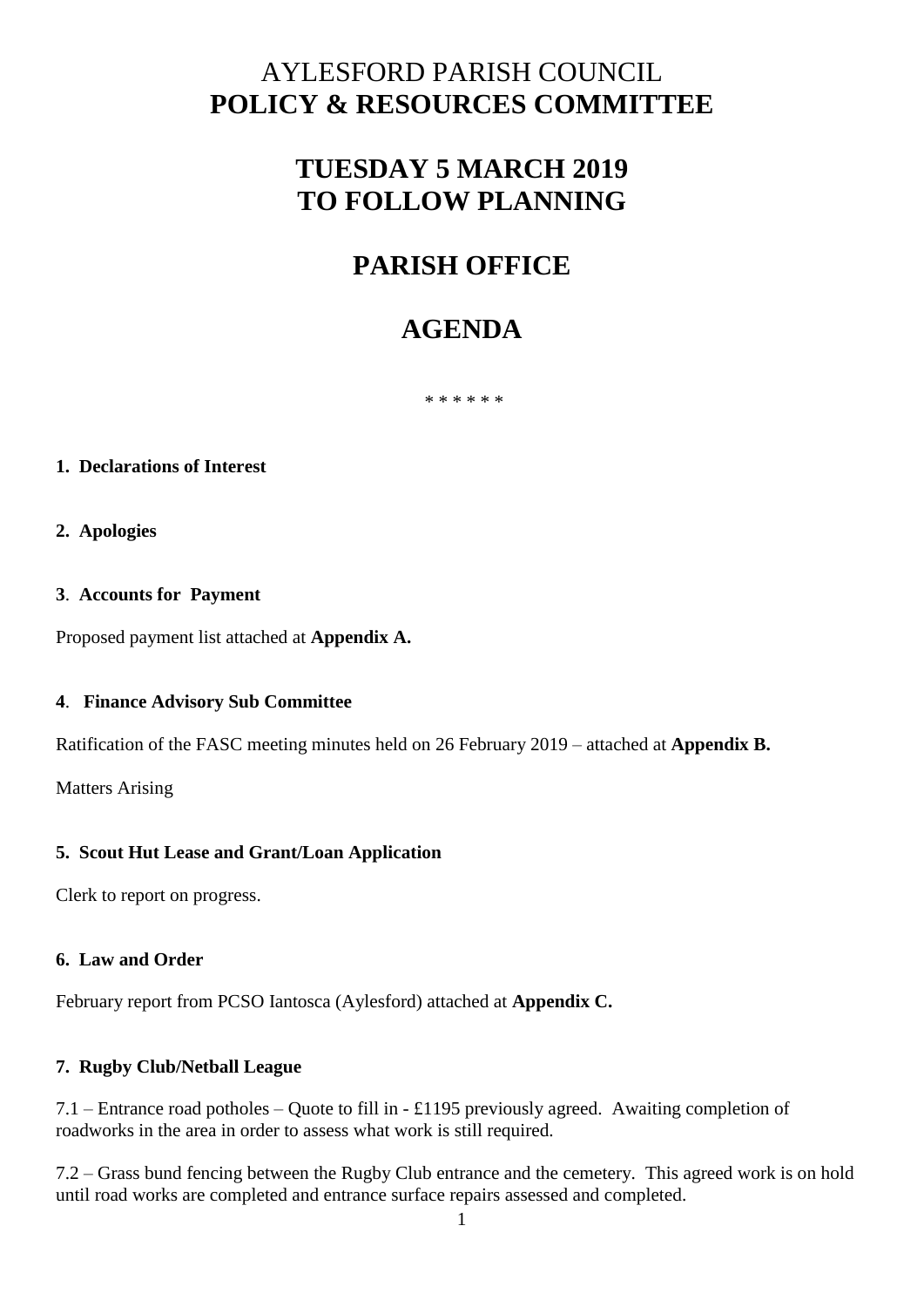## AYLESFORD PARISH COUNCIL **POLICY & RESOURCES COMMITTEE**

# **TUESDAY 5 MARCH 2019 TO FOLLOW PLANNING**

# **PARISH OFFICE**

# **AGENDA**

\* \* \* \* \* \*

### **1. Declarations of Interest**

### **2. Apologies**

### **3**. **Accounts for Payment**

Proposed payment list attached at **Appendix A.**

### **4**. **Finance Advisory Sub Committee**

Ratification of the FASC meeting minutes held on 26 February 2019 – attached at **Appendix B.** 

Matters Arising

### **5. Scout Hut Lease and Grant/Loan Application**

Clerk to report on progress.

### **6. Law and Order**

February report from PCSO Iantosca (Aylesford) attached at **Appendix C.**

### **7. Rugby Club/Netball League**

7.1 – Entrance road potholes – Quote to fill in - £1195 previously agreed. Awaiting completion of roadworks in the area in order to assess what work is still required.

7.2 – Grass bund fencing between the Rugby Club entrance and the cemetery. This agreed work is on hold until road works are completed and entrance surface repairs assessed and completed.